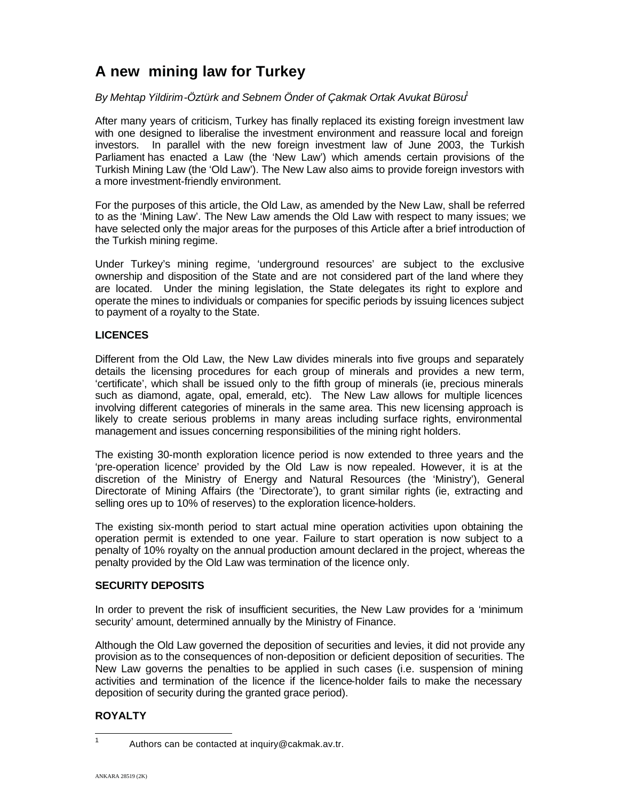# **A new mining law for Turkey**

## *By Mehtap Yildirim-Öztürk and Sebnem Önder of Çakmak Ortak Avukat Bürosu1*

After many years of criticism, Turkey has finally replaced its existing foreign investment law with one designed to liberalise the investment environment and reassure local and foreign investors. In parallel with the new foreign investment law of June 2003, the Turkish Parliament has enacted a Law (the 'New Law') which amends certain provisions of the Turkish Mining Law (the 'Old Law'). The New Law also aims to provide foreign investors with a more investment-friendly environment.

For the purposes of this article, the Old Law, as amended by the New Law, shall be referred to as the 'Mining Law'. The New Law amends the Old Law with respect to many issues; we have selected only the major areas for the purposes of this Article after a brief introduction of the Turkish mining regime.

Under Turkey's mining regime, 'underground resources' are subject to the exclusive ownership and disposition of the State and are not considered part of the land where they are located. Under the mining legislation, the State delegates its right to explore and operate the mines to individuals or companies for specific periods by issuing licences subject to payment of a royalty to the State.

## **LICENCES**

Different from the Old Law, the New Law divides minerals into five groups and separately details the licensing procedures for each group of minerals and provides a new term, 'certificate', which shall be issued only to the fifth group of minerals (ie, precious minerals such as diamond, agate, opal, emerald, etc). The New Law allows for multiple licences involving different categories of minerals in the same area. This new licensing approach is likely to create serious problems in many areas including surface rights, environmental management and issues concerning responsibilities of the mining right holders.

The existing 30-month exploration licence period is now extended to three years and the 'pre-operation licence' provided by the Old Law is now repealed. However, it is at the discretion of the Ministry of Energy and Natural Resources (the 'Ministry'), General Directorate of Mining Affairs (the 'Directorate'), to grant similar rights (ie, extracting and selling ores up to 10% of reserves) to the exploration licence-holders.

The existing six-month period to start actual mine operation activities upon obtaining the operation permit is extended to one year. Failure to start operation is now subject to a penalty of 10% royalty on the annual production amount declared in the project, whereas the penalty provided by the Old Law was termination of the licence only.

## **SECURITY DEPOSITS**

In order to prevent the risk of insufficient securities, the New Law provides for a 'minimum security' amount, determined annually by the Ministry of Finance.

Although the Old Law governed the deposition of securities and levies, it did not provide any provision as to the consequences of non-deposition or deficient deposition of securities. The New Law governs the penalties to be applied in such cases (i.e. suspension of mining activities and termination of the licence if the licence-holder fails to make the necessary deposition of security during the granted grace period).

# **ROYALTY**

<sup>&</sup>lt;sup>1</sup> Authors can be contacted at inquiry@cakmak.av.tr.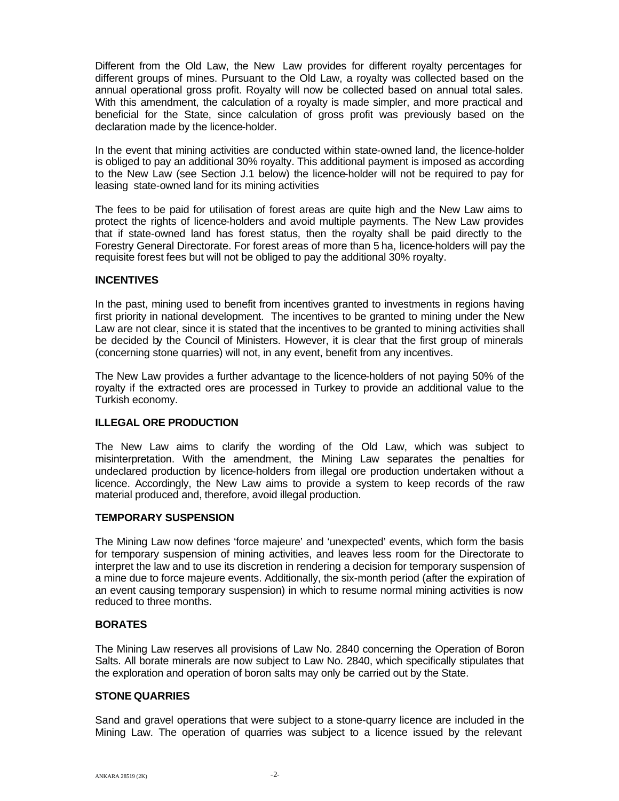Different from the Old Law, the New Law provides for different royalty percentages for different groups of mines. Pursuant to the Old Law, a royalty was collected based on the annual operational gross profit. Royalty will now be collected based on annual total sales. With this amendment, the calculation of a royalty is made simpler, and more practical and beneficial for the State, since calculation of gross profit was previously based on the declaration made by the licence-holder.

In the event that mining activities are conducted within state-owned land, the licence-holder is obliged to pay an additional 30% royalty. This additional payment is imposed as according to the New Law (see Section J.1 below) the licence-holder will not be required to pay for leasing state-owned land for its mining activities

The fees to be paid for utilisation of forest areas are quite high and the New Law aims to protect the rights of licence-holders and avoid multiple payments. The New Law provides that if state-owned land has forest status, then the royalty shall be paid directly to the Forestry General Directorate. For forest areas of more than 5 ha, licence-holders will pay the requisite forest fees but will not be obliged to pay the additional 30% royalty.

## **INCENTIVES**

In the past, mining used to benefit from incentives granted to investments in regions having first priority in national development. The incentives to be granted to mining under the New Law are not clear, since it is stated that the incentives to be granted to mining activities shall be decided by the Council of Ministers. However, it is clear that the first group of minerals (concerning stone quarries) will not, in any event, benefit from any incentives.

The New Law provides a further advantage to the licence-holders of not paying 50% of the royalty if the extracted ores are processed in Turkey to provide an additional value to the Turkish economy.

## **ILLEGAL ORE PRODUCTION**

The New Law aims to clarify the wording of the Old Law, which was subject to misinterpretation. With the amendment, the Mining Law separates the penalties for undeclared production by licence-holders from illegal ore production undertaken without a licence. Accordingly, the New Law aims to provide a system to keep records of the raw material produced and, therefore, avoid illegal production.

## **TEMPORARY SUSPENSION**

The Mining Law now defines 'force majeure' and 'unexpected' events, which form the basis for temporary suspension of mining activities, and leaves less room for the Directorate to interpret the law and to use its discretion in rendering a decision for temporary suspension of a mine due to force majeure events. Additionally, the six-month period (after the expiration of an event causing temporary suspension) in which to resume normal mining activities is now reduced to three months.

## **BORATES**

The Mining Law reserves all provisions of Law No. 2840 concerning the Operation of Boron Salts. All borate minerals are now subject to Law No. 2840, which specifically stipulates that the exploration and operation of boron salts may only be carried out by the State.

## **STONE QUARRIES**

Sand and gravel operations that were subject to a stone-quarry licence are included in the Mining Law. The operation of quarries was subject to a licence issued by the relevant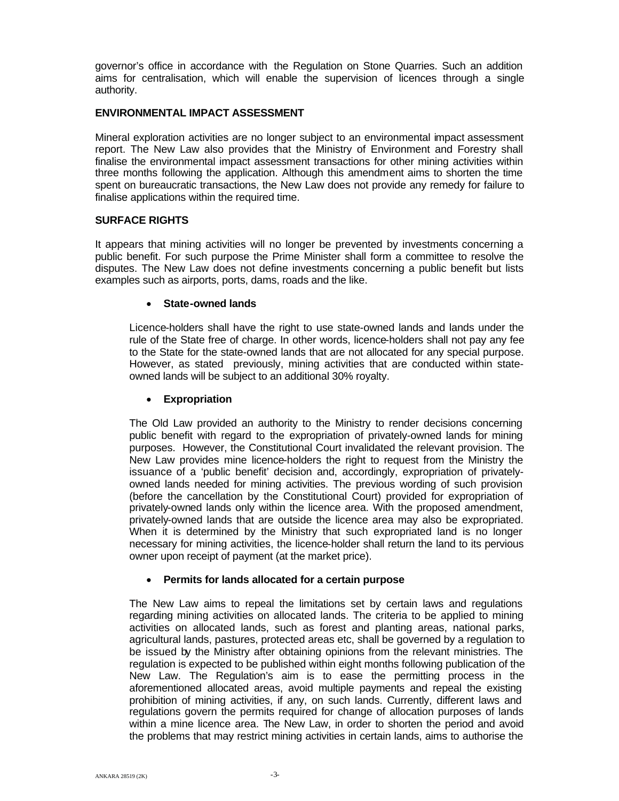governor's office in accordance with the Regulation on Stone Quarries. Such an addition aims for centralisation, which will enable the supervision of licences through a single authority.

#### **ENVIRONMENTAL IMPACT ASSESSMENT**

Mineral exploration activities are no longer subject to an environmental impact assessment report. The New Law also provides that the Ministry of Environment and Forestry shall finalise the environmental impact assessment transactions for other mining activities within three months following the application. Although this amendment aims to shorten the time spent on bureaucratic transactions, the New Law does not provide any remedy for failure to finalise applications within the required time.

## **SURFACE RIGHTS**

It appears that mining activities will no longer be prevented by investments concerning a public benefit. For such purpose the Prime Minister shall form a committee to resolve the disputes. The New Law does not define investments concerning a public benefit but lists examples such as airports, ports, dams, roads and the like.

#### **State-owned lands**

Licence-holders shall have the right to use state-owned lands and lands under the rule of the State free of charge. In other words, licence-holders shall not pay any fee to the State for the state-owned lands that are not allocated for any special purpose. However, as stated previously, mining activities that are conducted within stateowned lands will be subject to an additional 30% royalty.

#### **Expropriation**

The Old Law provided an authority to the Ministry to render decisions concerning public benefit with regard to the expropriation of privately-owned lands for mining purposes. However, the Constitutional Court invalidated the relevant provision. The New Law provides mine licence-holders the right to request from the Ministry the issuance of a 'public benefit' decision and, accordingly, expropriation of privatelyowned lands needed for mining activities. The previous wording of such provision (before the cancellation by the Constitutional Court) provided for expropriation of privately-owned lands only within the licence area. With the proposed amendment, privately-owned lands that are outside the licence area may also be expropriated. When it is determined by the Ministry that such expropriated land is no longer necessary for mining activities, the licence-holder shall return the land to its pervious owner upon receipt of payment (at the market price).

#### **Permits for lands allocated for a certain purpose**

The New Law aims to repeal the limitations set by certain laws and regulations regarding mining activities on allocated lands. The criteria to be applied to mining activities on allocated lands, such as forest and planting areas, national parks, agricultural lands, pastures, protected areas etc, shall be governed by a regulation to be issued by the Ministry after obtaining opinions from the relevant ministries. The regulation is expected to be published within eight months following publication of the New Law. The Regulation's aim is to ease the permitting process in the aforementioned allocated areas, avoid multiple payments and repeal the existing prohibition of mining activities, if any, on such lands. Currently, different laws and regulations govern the permits required for change of allocation purposes of lands within a mine licence area. The New Law, in order to shorten the period and avoid the problems that may restrict mining activities in certain lands, aims to authorise the